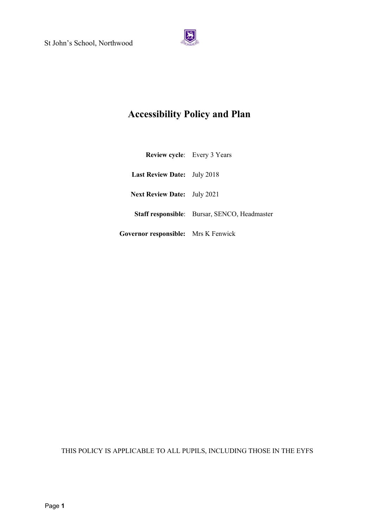

# **Accessibility Policy and Plan**

| <b>Review cycle:</b> Every 3 Years         |                                              |
|--------------------------------------------|----------------------------------------------|
| <b>Last Review Date:</b> July 2018         |                                              |
| <b>Next Review Date:</b> July 2021         |                                              |
|                                            | Staff responsible: Bursar, SENCO, Headmaster |
| <b>Governor responsible:</b> Mrs K Fenwick |                                              |

THIS POLICY IS APPLICABLE TO ALL PUPILS, INCLUDING THOSE IN THE EYFS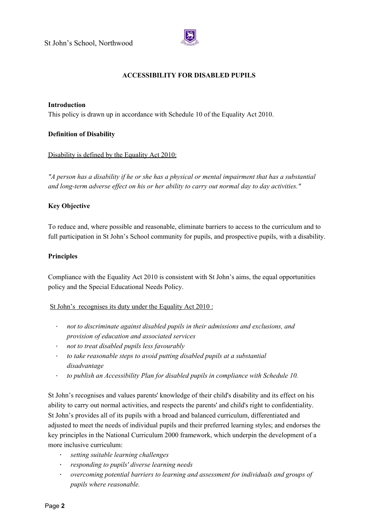

# **ACCESSIBILITY FOR DISABLED PUPILS**

#### **Introduction**

This policy is drawn up in accordance with Schedule 10 of the Equality Act 2010.

#### **Definition of Disability**

#### Disability is defined by the Equality Act 2010:

"A person has a disability if he or she has a physical or mental impairment that has a substantial *and long-term adverse ef ect on his or her ability to carry out normal day to day activities."*

#### **Key Objective**

To reduce and, where possible and reasonable, eliminate barriers to access to the curriculum and to full participation in St John's School community for pupils, and prospective pupils, with a disability.

#### **Principles**

Compliance with the Equality Act 2010 is consistent with St John's aims, the equal opportunities policy and the Special Educational Needs Policy.

## St John's recognises its duty under the Equality Act 2010 :

- ∙ *not to discriminate against disabled pupils in their admissions and exclusions, and provision of education and associated services*
- ∙ *not to treat disabled pupils less favourably*
- ∙ *to take reasonable steps to avoid putting disabled pupils at a substantial disadvantage*
- ∙ *to publish an Accessibility Plan for disabled pupils in compliance with Schedule 10.*

St John's recognises and values parents' knowledge of their child's disability and its effect on his ability to carry out normal activities, and respects the parents' and child's right to confidentiality. St John's provides all of its pupils with a broad and balanced curriculum, differentiated and adjusted to meet the needs of individual pupils and their preferred learning styles; and endorses the key principles in the National Curriculum 2000 framework, which underpin the development of a more inclusive curriculum:

- ∙ *setting suitable learning challenges*
- ∙ *responding to pupils' diverse learning needs*
- ∙ *overcoming potential barriers to learning and assessment for individuals and groups of pupils where reasonable.*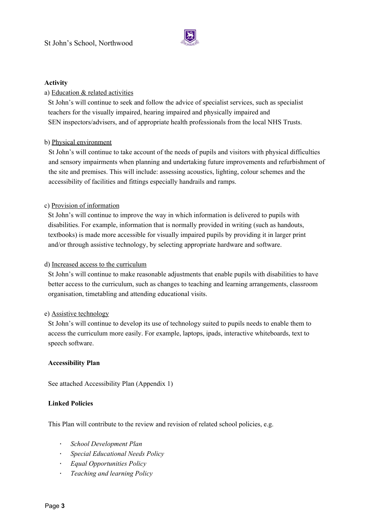

## **Activity**

# a) Education & related activities

St John's will continue to seek and follow the advice of specialist services, such as specialist teachers for the visually impaired, hearing impaired and physically impaired and SEN inspectors/advisers, and of appropriate health professionals from the local NHS Trusts.

# b) Physical environment

St John's will continue to take account of the needs of pupils and visitors with physical difficulties and sensory impairments when planning and undertaking future improvements and refurbishment of the site and premises. This will include: assessing acoustics, lighting, colour schemes and the accessibility of facilities and fittings especially handrails and ramps.

# c) Provision of information

St John's will continue to improve the way in which information is delivered to pupils with disabilities. For example, information that is normally provided in writing (such as handouts, textbooks) is made more accessible for visually impaired pupils by providing it in larger print and/or through assistive technology, by selecting appropriate hardware and software.

## d) Increased access to the curriculum

St John's will continue to make reasonable adjustments that enable pupils with disabilities to have better access to the curriculum, such as changes to teaching and learning arrangements, classroom organisation, timetabling and attending educational visits.

## e) Assistive technology

St John's will continue to develop its use of technology suited to pupils needs to enable them to access the curriculum more easily. For example, laptops, ipads, interactive whiteboards, text to speech software.

## **Accessibility Plan**

See attached Accessibility Plan (Appendix 1)

## **Linked Policies**

This Plan will contribute to the review and revision of related school policies, e.g.

- ∙ *School Development Plan*
- ∙ *Special Educational Needs Policy*
- ∙ *Equal Opportunities Policy*
- ∙ *Teaching and learning Policy*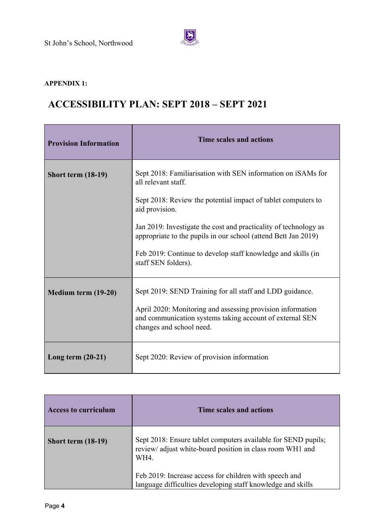

# **APPENDIX 1:**

# **ACCESSIBILITY PLAN: SEPT 2018 – SEPT 2021**

| <b>Provision Information</b> | Time scales and actions                                                                                                                                                                                                                                                                                                                                                                             |
|------------------------------|-----------------------------------------------------------------------------------------------------------------------------------------------------------------------------------------------------------------------------------------------------------------------------------------------------------------------------------------------------------------------------------------------------|
| <b>Short term (18-19)</b>    | Sept 2018: Familiarisation with SEN information on iSAMs for<br>all relevant staff.<br>Sept 2018: Review the potential impact of tablet computers to<br>aid provision.<br>Jan 2019: Investigate the cost and practicality of technology as<br>appropriate to the pupils in our school (attend Bett Jan 2019)<br>Feb 2019: Continue to develop staff knowledge and skills (in<br>staff SEN folders). |
| Medium term (19-20)          | Sept 2019: SEND Training for all staff and LDD guidance.<br>April 2020: Monitoring and assessing provision information<br>and communication systems taking account of external SEN<br>changes and school need.                                                                                                                                                                                      |
| Long term $(20-21)$          | Sept 2020: Review of provision information                                                                                                                                                                                                                                                                                                                                                          |

| <b>Access to curriculum</b> | Time scales and actions                                                                                                            |
|-----------------------------|------------------------------------------------------------------------------------------------------------------------------------|
| Short term $(18-19)$        | Sept 2018: Ensure tablet computers available for SEND pupils;<br>review/ adjust white-board position in class room WH1 and<br>WH4. |
|                             | Feb 2019: Increase access for children with speech and<br>language difficulties developing staff knowledge and skills              |